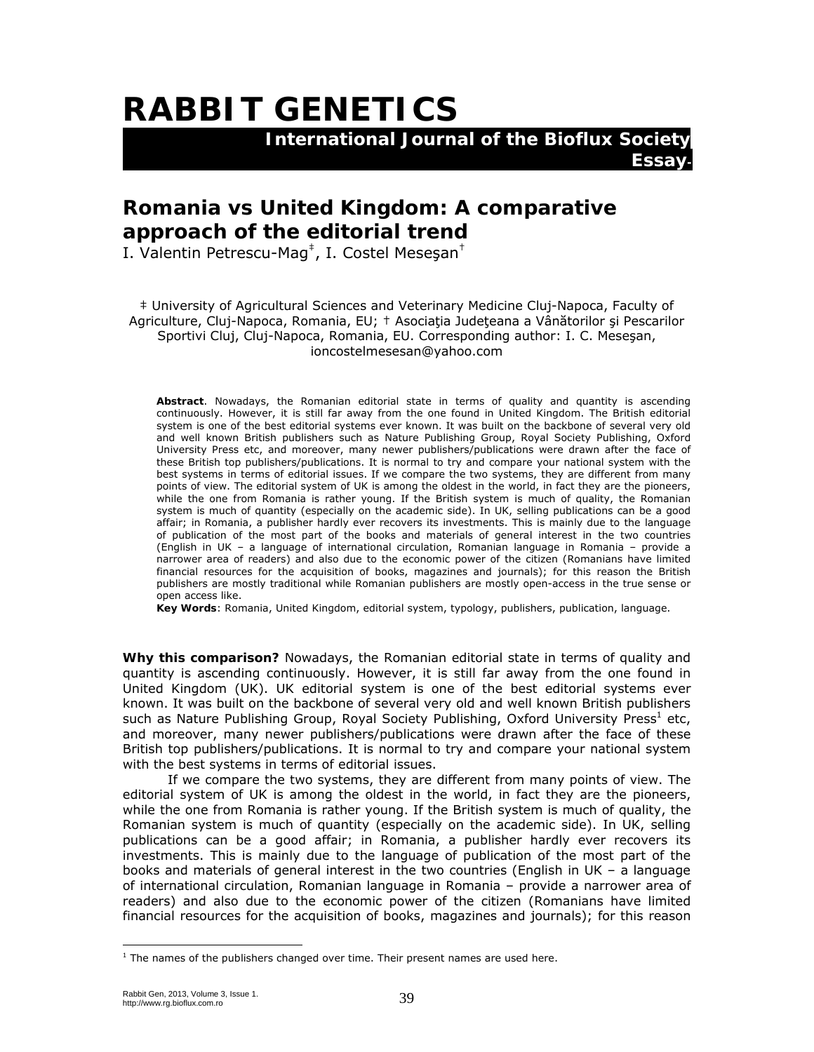## **RABBIT GENETICS**

 **International Journal of the Bioflux Society** 

## **Romania** *vs* **United Kingdom: A comparative approach of the editorial trend**

I. Valentin Petrescu-Mag<sup>‡</sup>, I. Costel Meseşan<sup>†</sup>

‡ University of Agricultural Sciences and Veterinary Medicine Cluj-Napoca, Faculty of Agriculture, Cluj-Napoca, Romania, EU; † Asociaţia Judeţeana a Vânătorilor şi Pescarilor Sportivi Cluj, Cluj-Napoca, Romania, EU. Corresponding author: I. C. Meseşan, ioncostelmesesan@yahoo.com

**Essay-**

**Abstract**. Nowadays, the Romanian editorial state in terms of quality and quantity is ascending continuously. However, it is still far away from the one found in United Kingdom. The British editorial system is one of the best editorial systems ever known. It was built on the backbone of several very old and well known British publishers such as Nature Publishing Group, Royal Society Publishing, Oxford University Press etc, and moreover, many newer publishers/publications were drawn after the face of these British top publishers/publications. It is normal to try and compare your national system with the best systems in terms of editorial issues. If we compare the two systems, they are different from many points of view. The editorial system of UK is among the oldest in the world, in fact they are the pioneers, while the one from Romania is rather young. If the British system is much of quality, the Romanian system is much of quantity (especially on the academic side). In UK, selling publications can be a good affair; in Romania, a publisher hardly ever recovers its investments. This is mainly due to the language of publication of the most part of the books and materials of general interest in the two countries (English in UK – a language of international circulation, Romanian language in Romania – provide a narrower area of readers) and also due to the economic power of the citizen (Romanians have limited financial resources for the acquisition of books, magazines and journals); for this reason the British publishers are mostly traditional while Romanian publishers are mostly open-access in the true sense or open access like.

**Key Words**: Romania, United Kingdom, editorial system, typology, publishers, publication, language.

**Why this comparison?** Nowadays, the Romanian editorial state in terms of quality and quantity is ascending continuously. However, it is still far away from the one found in United Kingdom (UK). UK editorial system is one of the best editorial systems ever known. It was built on the backbone of several very old and well known British publishers such as Nature Publishing Group, Royal Society Publishing, Oxford University Press<sup>1</sup> etc, and moreover, many newer publishers/publications were drawn after the face of these British top publishers/publications. It is normal to try and compare your national system with the best systems in terms of editorial issues.

If we compare the two systems, they are different from many points of view. The editorial system of UK is among the oldest in the world, in fact they are the pioneers, while the one from Romania is rather young. If the British system is much of quality, the Romanian system is much of quantity (especially on the academic side). In UK, selling publications can be a good affair; in Romania, a publisher hardly ever recovers its investments. This is mainly due to the language of publication of the most part of the books and materials of general interest in the two countries (English in UK – a language of international circulation, Romanian language in Romania – provide a narrower area of readers) and also due to the economic power of the citizen (Romanians have limited financial resources for the acquisition of books, magazines and journals); for this reason

 $<sup>1</sup>$  The names of the publishers changed over time. Their present names are used here.</sup>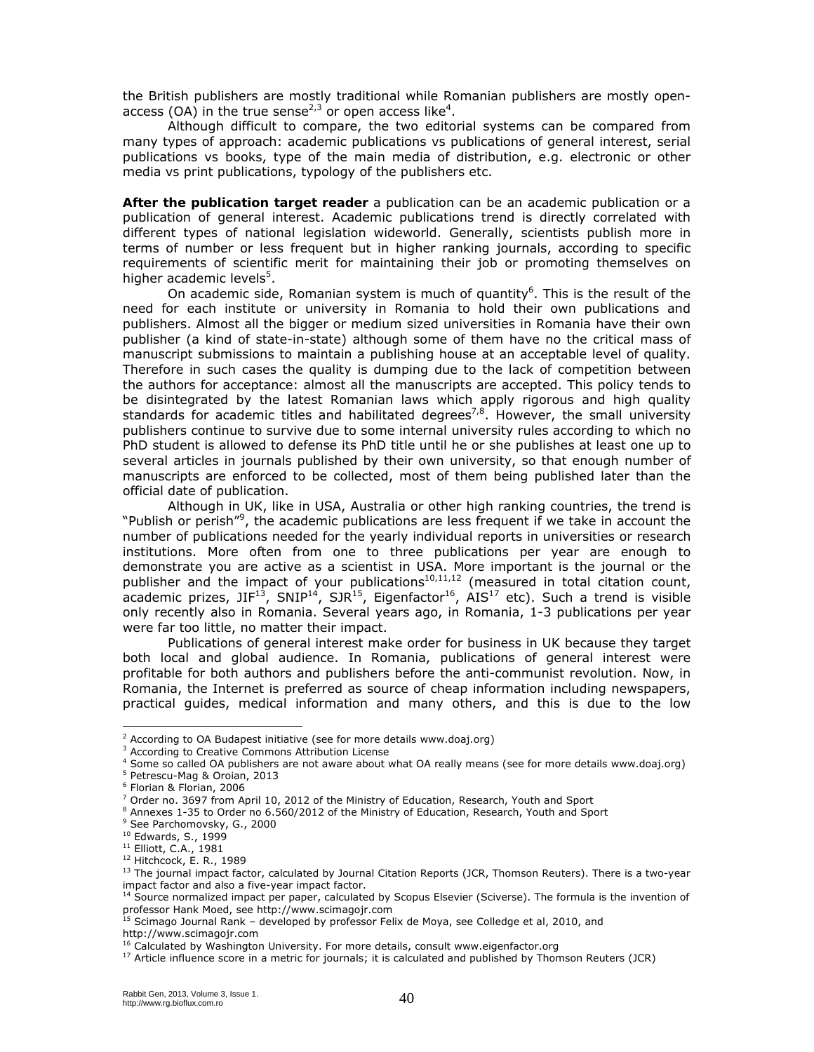the British publishers are mostly traditional while Romanian publishers are mostly openaccess (OA) in the true sense<sup>2,3</sup> or open access like<sup>4</sup>.

Although difficult to compare, the two editorial systems can be compared from many types of approach: academic publications *vs* publications of general interest, serial publications *vs* books, type of the main media of distribution, e.g. electronic or other media *vs* print publications, typology of the publishers etc.

**After the publication target reader** a publication can be an academic publication or a publication of general interest. Academic publications trend is directly correlated with different types of national legislation wideworld. Generally, scientists publish more in terms of number or less frequent but in higher ranking journals, according to specific requirements of scientific merit for maintaining their job or promoting themselves on higher academic levels<sup>5</sup>.

On academic side, Romanian system is much of quantity<sup>6</sup>. This is the result of the need for each institute or university in Romania to hold their own publications and publishers. Almost all the bigger or medium sized universities in Romania have their own publisher (a kind of state-in-state) although some of them have no the critical mass of manuscript submissions to maintain a publishing house at an acceptable level of quality. Therefore in such cases the quality is dumping due to the lack of competition between the authors for acceptance: almost all the manuscripts are accepted. This policy tends to be disintegrated by the latest Romanian laws which apply rigorous and high quality standards for academic titles and habilitated degrees<sup>7,8</sup>. However, the small university publishers continue to survive due to some internal university rules according to which no PhD student is allowed to defense its PhD title until he or she publishes at least one up to several articles in journals published by their own university, so that enough number of manuscripts are enforced to be collected, most of them being published later than the official date of publication.

Although in UK, like in USA, Australia or other high ranking countries, the trend is "Publish or perish"<sup>9</sup>, the academic publications are less frequent if we take in account the number of publications needed for the yearly individual reports in universities or research institutions. More often from one to three publications per year are enough to demonstrate you are active as a scientist in USA. More important is the journal or the publisher and the impact of your publications<sup>10,11,12</sup> (measured in total citation count, academic prizes, JIF<sup>13</sup>, SNIP<sup>14</sup>, SJR<sup>15</sup>, Eigenfactor<sup>16</sup>, AIS<sup>17</sup> etc). Such a trend is visible only recently also in Romania. Several years ago, in Romania, 1-3 publications per year were far too little, no matter their impact.

Publications of general interest make order for business in UK because they target both local and global audience. In Romania, publications of general interest were profitable for both authors and publishers before the anti-communist revolution. Now, in Romania, the Internet is preferred as source of cheap information including newspapers, practical guides, medical information and many others, and this is due to the low

 $\overline{a}$ 

 $2$  According to OA Budapest initiative (see for more details www.doaj.org)

<sup>&</sup>lt;sup>3</sup> According to Creative Commons Attribution License

<sup>&</sup>lt;sup>4</sup> Some so called OA publishers are not aware about what OA really means (see for more details www.doaj.org)

<sup>5</sup> Petrescu-Mag & Oroian, 2013

<sup>6</sup> Florian & Florian, 2006

<sup>&</sup>lt;sup>7</sup> Order no. 3697 from April 10, 2012 of the Ministry of Education, Research, Youth and Sport

<sup>&</sup>lt;sup>8</sup> Annexes 1-35 to Order no 6.560/2012 of the Ministry of Education, Research, Youth and Sport

<sup>9</sup> See Parchomovsky, G., 2000

<sup>&</sup>lt;sup>10</sup> Edwards, S., 1999<br><sup>11</sup> Elliott, C.A., 1981<br><sup>12</sup> Hitchcock, E. R., 1989<br><sup>13</sup> The journal impact factor, calculated by Journal Citation Reports (JCR, Thomson Reuters). There is a two-year impact factor and also a five-year impact factor.

<sup>&</sup>lt;sup>14</sup> Source normalized impact per paper, calculated by Scopus Elsevier (Sciverse). The formula is the invention of professor Hank Moed, see http://www.scimagojr.com

 $^{15}$  Scimago Journal Rank – developed by professor Felix de Moya, see Colledge et al, 2010, and

http://www.scimagojr.com<br><sup>16</sup> Calculated by Washington University. For more details, consult www.eigenfactor.org

 $17$  Article influence score in a metric for journals; it is calculated and published by Thomson Reuters (JCR)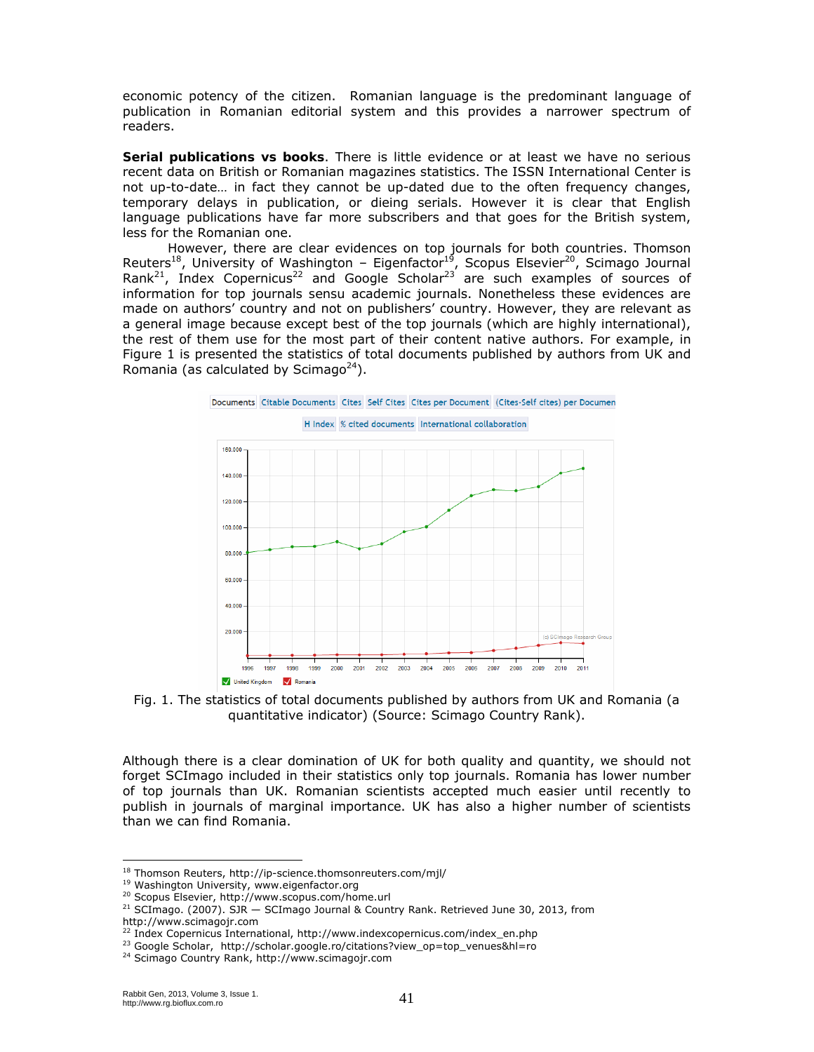economic potency of the citizen. Romanian language is the predominant language of publication in Romanian editorial system and this provides a narrower spectrum of readers.

**Serial publications** *vs* **books**. There is little evidence or at least we have no serious recent data on British or Romanian magazines statistics. The ISSN International Center is not up-to-date… in fact they cannot be up-dated due to the often frequency changes, temporary delays in publication, or dieing serials. However it is clear that English language publications have far more subscribers and that goes for the British system, less for the Romanian one.

However, there are clear evidences on top journals for both countries. Thomson Reuters<sup>18</sup>, University of Washington – Eigenfactor<sup>19</sup>, Scopus Elsevier<sup>20</sup>, Scimago Journal Rank<sup>21</sup>, Index Copernicus<sup>22</sup> and Google Scholar<sup>23</sup> are such examples of sources of information for top journals *sensu* academic journals. Nonetheless these evidences are made on authors' country and not on publishers' country. However, they are relevant as a general image because except best of the top journals (which are highly international), the rest of them use for the most part of their content native authors. For example, in Figure 1 is presented the statistics of total documents published by authors from UK and Romania (as calculated by Scimago<sup>24</sup>).



Fig. 1. The statistics of total documents published by authors from UK and Romania (a quantitative indicator) (Source: Scimago Country Rank).

Although there is a clear domination of UK for both quality and quantity, we should not forget SCImago included in their statistics only top journals. Romania has lower number of top journals than UK. Romanian scientists accepted much easier until recently to publish in journals of marginal importance. UK has also a higher number of scientists than we can find Romania.

<sup>&</sup>lt;sup>18</sup> Thomson Reuters, http://ip-science.thomsonreuters.com/mjl/

<sup>&</sup>lt;sup>19</sup> Washington University, www.eigenfactor.org<br><sup>20</sup> Scopus Elsevier, http://www.scopus.com/home.url<br><sup>21</sup> SCImago. (2007). SJR — SCImago Journal & Country Rank. Retrieved June 30, 2013, from http://www.scimagojr.com<br><sup>22</sup> Index Copernicus International, http://www.indexcopernicus.com/index\_en.php

<sup>&</sup>lt;sup>23</sup> Google Scholar, http://scholar.google.ro/citations?view\_op=top\_venues&hl=ro<br><sup>24</sup> Scimago Country Rank, http://www.scimagojr.com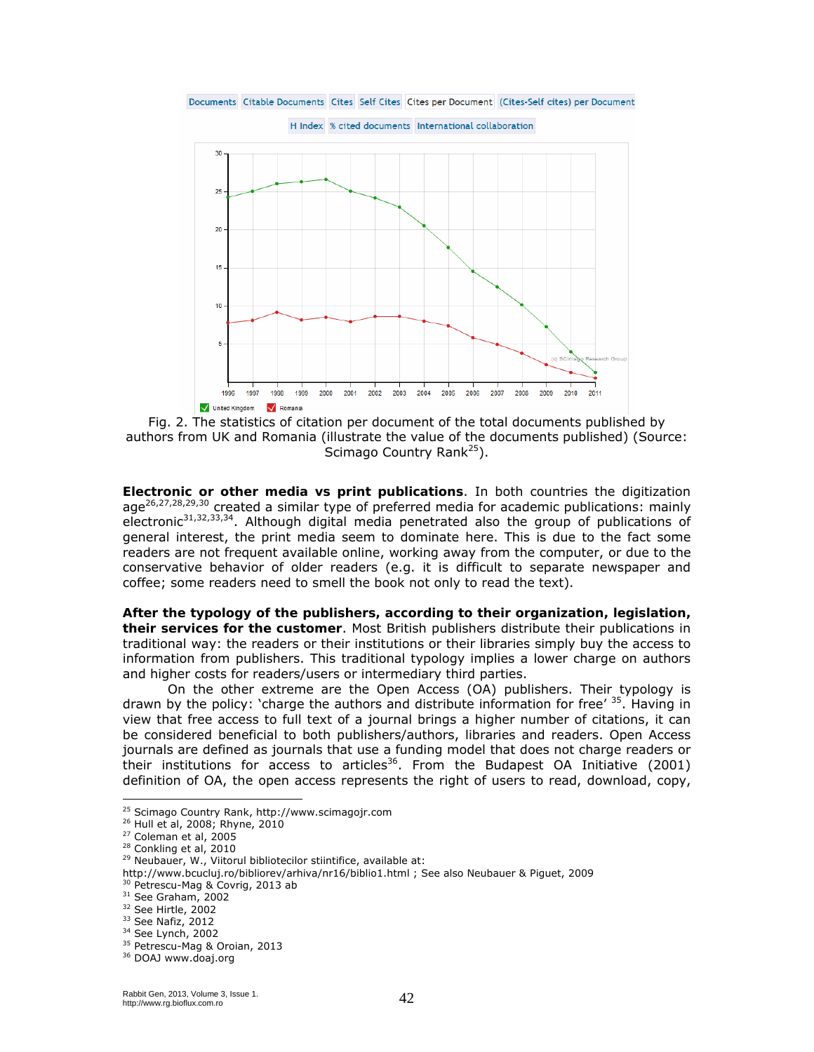Documents Citable Documents Cites Self Cites Cites per Document (Cites-Self cites) per Document

H Index % cited documents International collaboration 30 25 20 15 10  $\overline{\mathbf{5}}$ 1996 1997 1998 1999 2000 2001 2002 2003 2004 2005 2006 2007 2008 2009 2010 2011 V United Kingdom V Romania

Fig. 2. The statistics of citation per document of the total documents published by authors from UK and Romania (illustrate the value of the documents published) (Source: Scimago Country Rank<sup>25</sup>).

**Electronic or other media** *vs* **print publications**. In both countries the digitization age<sup>26,27,28,29,30</sup> created a similar type of preferred media for academic publications: mainly electronic<sup>31,32,33,34</sup>. Although digital media penetrated also the group of publications of general interest, the print media seem to dominate here. This is due to the fact some readers are not frequent available online, working away from the computer, or due to the conservative behavior of older readers (e.g. it is difficult to separate newspaper and coffee; some readers need to smell the book not only to read the text).

**After the typology of the publishers, according to their organization, legislation, their services for the customer**. Most British publishers distribute their publications in traditional way: the readers or their institutions or their libraries simply buy the access to information from publishers. This traditional typology implies a lower charge on authors and higher costs for readers/users or intermediary third parties.

On the other extreme are the Open Access (OA) publishers. Their typology is drawn by the policy: 'charge the authors and distribute information for free'  $35$ . Having in view that free access to full text of a journal brings a higher number of citations, it can be considered beneficial to both publishers/authors, libraries and readers. Open Access journals are defined as journals that use a funding model that does not charge readers or their institutions for access to articles36. From the Budapest OA Initiative (2001) definition of OA, the open access represents the right of users to read, download, copy,

 $\overline{a}$ 

<sup>25</sup> Scimago Country Rank, http://www.scimagojr.com

<sup>&</sup>lt;sup>26</sup> Hull et al, 2008; Rhyne, 2010<br><sup>27</sup> Coleman et al, 2005<br><sup>28</sup> Conkling et al, 2010<br><sup>29</sup> Neubauer, W., Viitorul bibliotecilor stiintifice, available at:

http://www.bcucluj.ro/bibliorev/arhiva/nr16/biblio1.html ; See also Neubauer & Piguet, 2009<br><sup>30</sup> Petrescu-Mag & Covrig, 2013 ab

<sup>&</sup>lt;sup>31</sup> See Graham, 2002<br><sup>32</sup> See Hirtle, 2002<br><sup>33</sup> See Nafiz, 2012<br><sup>34</sup> See Lynch, 2002<br><sup>35</sup> Petrescu-Mag & Oroian, 2013<br><sup>36</sup> DOAJ www.doaj.org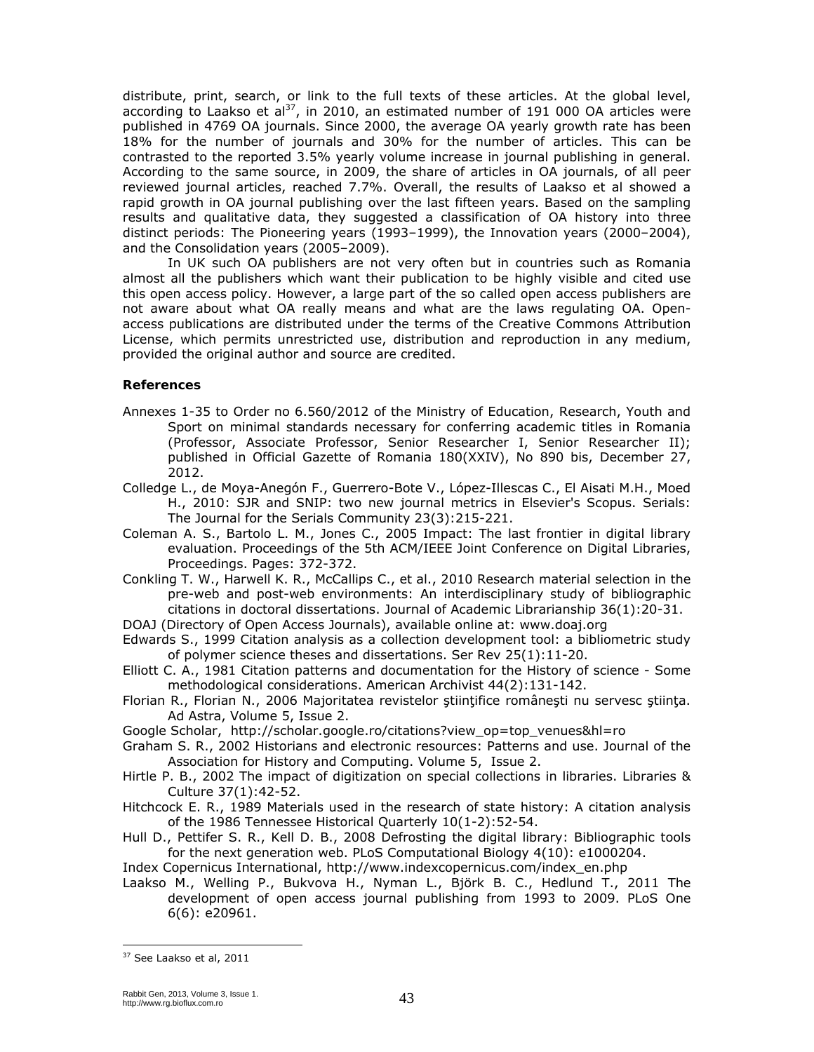distribute, print, search, or link to the full texts of these articles. At the global level, according to Laakso et al<sup>37</sup>, in 2010, an estimated number of 191 000 OA articles were published in 4769 OA journals. Since 2000, the average OA yearly growth rate has been 18% for the number of journals and 30% for the number of articles. This can be contrasted to the reported 3.5% yearly volume increase in journal publishing in general. According to the same source, in 2009, the share of articles in OA journals, of all peer reviewed journal articles, reached 7.7%. Overall, the results of Laakso et al showed a rapid growth in OA journal publishing over the last fifteen years. Based on the sampling results and qualitative data, they suggested a classification of OA history into three distinct periods: The Pioneering years (1993–1999), the Innovation years (2000–2004), and the Consolidation years (2005–2009).

In UK such OA publishers are not very often but in countries such as Romania almost all the publishers which want their publication to be highly visible and cited use this open access policy. However, a large part of the so called open access publishers are not aware about what OA really means and what are the laws regulating OA. Openaccess publications are distributed under the terms of the Creative Commons Attribution License, which permits unrestricted use, distribution and reproduction in any medium, provided the original author and source are credited.

## **References**

- Annexes 1-35 to Order no 6.560/2012 of the Ministry of Education, Research, Youth and Sport on minimal standards necessary for conferring academic titles in Romania (Professor, Associate Professor, Senior Researcher I, Senior Researcher II); published in Official Gazette of Romania 180(XXIV), No 890 bis, December 27, 2012.
- Colledge L., de Moya-Anegón F., Guerrero-Bote V., López-Illescas C., El Aisati M.H., Moed H., 2010: SJR and SNIP: two new journal metrics in Elsevier's Scopus. Serials: The Journal for the Serials Community 23(3):215-221.
- Coleman A. S., Bartolo L. M., Jones C., 2005 Impact: The last frontier in digital library evaluation. Proceedings of the 5th ACM/IEEE Joint Conference on Digital Libraries, Proceedings. Pages: 372-372.
- Conkling T. W., Harwell K. R., McCallips C., et al., 2010 Research material selection in the pre-web and post-web environments: An interdisciplinary study of bibliographic citations in doctoral dissertations. Journal of Academic Librarianship 36(1):20-31.
- DOAJ (Directory of Open Access Journals), available online at: www.doaj.org
- Edwards S., 1999 Citation analysis as a collection development tool: a bibliometric study of polymer science theses and dissertations. Ser Rev 25(1):11-20.
- Elliott C. A., 1981 Citation patterns and documentation for the History of science Some methodological considerations. American Archivist 44(2):131-142.
- Florian R., Florian N., 2006 Majoritatea revistelor ştiinţifice româneşti nu servesc ştiinţa. Ad Astra, Volume 5, Issue 2.
- Google Scholar, http://scholar.google.ro/citations?view\_op=top\_venues&hl=ro
- Graham S. R., 2002 Historians and electronic resources: Patterns and use. Journal of the Association for History and Computing. Volume 5, Issue 2.
- Hirtle P. B., 2002 The impact of digitization on special collections in libraries. Libraries & Culture 37(1):42-52.
- Hitchcock E. R., 1989 Materials used in the research of state history: A citation analysis of the 1986 Tennessee Historical Quarterly 10(1-2):52-54.
- Hull D., Pettifer S. R., Kell D. B., 2008 Defrosting the digital library: Bibliographic tools for the next generation web. PLoS Computational Biology 4(10): e1000204.
- Index Copernicus International, http://www.indexcopernicus.com/index\_en.php
- Laakso M., Welling P., Bukvova H., Nyman L., Björk B. C., Hedlund T., 2011 The development of open access journal publishing from 1993 to 2009. PLoS One 6(6): e20961.

<sup>37</sup> See Laakso et al, 2011